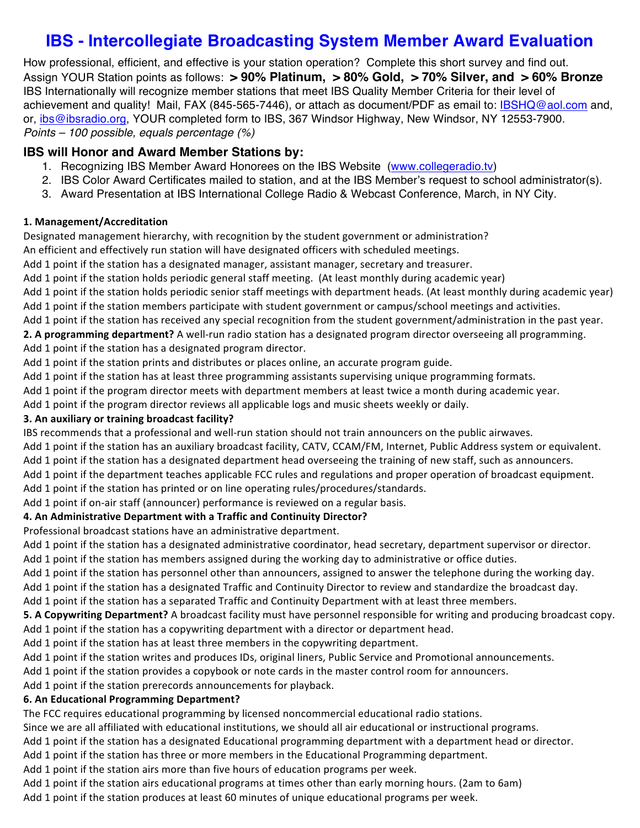# **IBS - Intercollegiate Broadcasting System Member Award Evaluation**

How professional, efficient, and effective is your station operation? Complete this short survey and find out. Assign YOUR Station points as follows: **> 90% Platinum, > 80% Gold, > 70% Silver, and > 60% Bronze**  IBS Internationally will recognize member stations that meet IBS Quality Member Criteria for their level of achievement and quality! Mail, FAX (845-565-7446), or attach as document/PDF as email to: IBSHQ@aol.com and, or, ibs@ibsradio.org, YOUR completed form to IBS, 367 Windsor Highway, New Windsor, NY 12553-7900. *Points – 100 possible, equals percentage (%)*

# **IBS will Honor and Award Member Stations by:**

- 1. Recognizing IBS Member Award Honorees on the IBS Website (www.collegeradio.tv)
- 2. IBS Color Award Certificates mailed to station, and at the IBS Member's request to school administrator(s).
- 3. Award Presentation at IBS International College Radio & Webcast Conference, March, in NY City.

# **1. Management/Accreditation**

Designated management hierarchy, with recognition by the student government or administration?

An efficient and effectively run station will have designated officers with scheduled meetings.

Add 1 point if the station has a designated manager, assistant manager, secretary and treasurer.

Add 1 point if the station holds periodic general staff meeting. (At least monthly during academic year)

Add 1 point if the station holds periodic senior staff meetings with department heads. (At least monthly during academic year) Add 1 point if the station members participate with student government or campus/school meetings and activities.

Add 1 point if the station has received any special recognition from the student government/administration in the past year.

**2. A programming department?** A well-run radio station has a designated program director overseeing all programming. Add 1 point if the station has a designated program director.

Add 1 point if the station prints and distributes or places online, an accurate program guide.

Add 1 point if the station has at least three programming assistants supervising unique programming formats.

Add 1 point if the program director meets with department members at least twice a month during academic year.

Add 1 point if the program director reviews all applicable logs and music sheets weekly or daily.

## **3. An auxiliary or training broadcast facility?**

IBS recommends that a professional and well-run station should not train announcers on the public airwaves.

Add 1 point if the station has an auxiliary broadcast facility, CATV, CCAM/FM, Internet, Public Address system or equivalent.

- Add 1 point if the station has a designated department head overseeing the training of new staff, such as announcers.
- Add 1 point if the department teaches applicable FCC rules and regulations and proper operation of broadcast equipment.

Add 1 point if the station has printed or on line operating rules/procedures/standards.

Add 1 point if on-air staff (announcer) performance is reviewed on a regular basis.

## **4. An Administrative Department with a Traffic and Continuity Director?**

Professional broadcast stations have an administrative department.

Add 1 point if the station has a designated administrative coordinator, head secretary, department supervisor or director.

Add 1 point if the station has members assigned during the working day to administrative or office duties.

Add 1 point if the station has personnel other than announcers, assigned to answer the telephone during the working day.

Add 1 point if the station has a designated Traffic and Continuity Director to review and standardize the broadcast day.

Add 1 point if the station has a separated Traffic and Continuity Department with at least three members.

**5. A Copywriting Department?** A broadcast facility must have personnel responsible for writing and producing broadcast copy. Add 1 point if the station has a copywriting department with a director or department head.

Add 1 point if the station has at least three members in the copywriting department.

Add 1 point if the station writes and produces IDs, original liners, Public Service and Promotional announcements.

Add 1 point if the station provides a copybook or note cards in the master control room for announcers.

Add 1 point if the station prerecords announcements for playback.

# **6. An Educational Programming Department?**

The FCC requires educational programming by licensed noncommercial educational radio stations.

Since we are all affiliated with educational institutions, we should all air educational or instructional programs.

Add 1 point if the station has a designated Educational programming department with a department head or director.

Add 1 point if the station has three or more members in the Educational Programming department.

Add 1 point if the station airs more than five hours of education programs per week.

Add 1 point if the station airs educational programs at times other than early morning hours. (2am to 6am)

Add 1 point if the station produces at least 60 minutes of unique educational programs per week.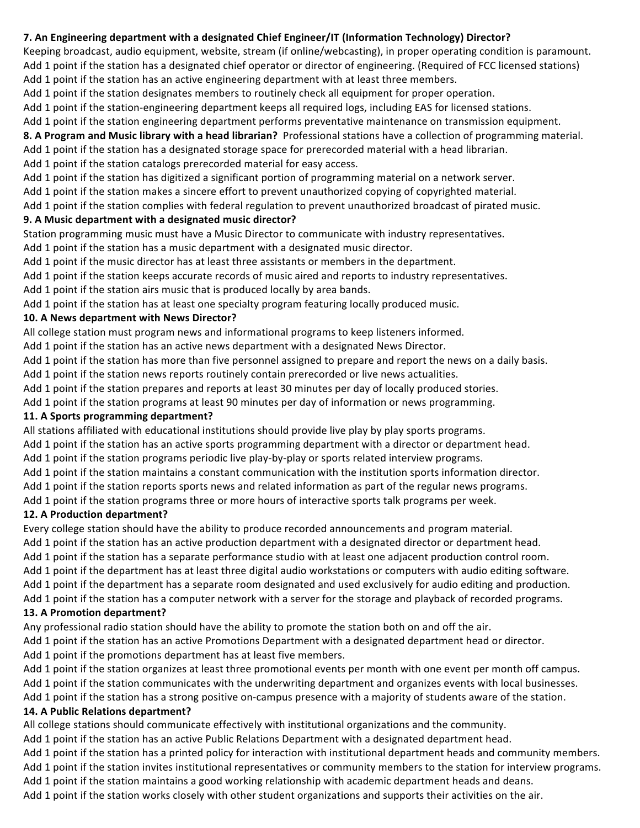## **7.** An Engineering department with a designated Chief Engineer/IT (Information Technology) Director?

Keeping broadcast, audio equipment, website, stream (if online/webcasting), in proper operating condition is paramount. Add 1 point if the station has a designated chief operator or director of engineering. (Required of FCC licensed stations)

Add 1 point if the station has an active engineering department with at least three members.

Add 1 point if the station designates members to routinely check all equipment for proper operation.

Add 1 point if the station-engineering department keeps all required logs, including EAS for licensed stations.

Add 1 point if the station engineering department performs preventative maintenance on transmission equipment.

8. A Program and Music library with a head librarian? Professional stations have a collection of programming material.

Add 1 point if the station has a designated storage space for prerecorded material with a head librarian.

Add 1 point if the station catalogs prerecorded material for easy access.

Add 1 point if the station has digitized a significant portion of programming material on a network server.

Add 1 point if the station makes a sincere effort to prevent unauthorized copying of copyrighted material.

Add 1 point if the station complies with federal regulation to prevent unauthorized broadcast of pirated music.

## **9. A Music department with a designated music director?**

Station programming music must have a Music Director to communicate with industry representatives.

Add 1 point if the station has a music department with a designated music director.

Add 1 point if the music director has at least three assistants or members in the department.

Add 1 point if the station keeps accurate records of music aired and reports to industry representatives.

Add 1 point if the station airs music that is produced locally by area bands.

Add 1 point if the station has at least one specialty program featuring locally produced music.

## **10. A News department with News Director?**

All college station must program news and informational programs to keep listeners informed.

Add 1 point if the station has an active news department with a designated News Director.

Add 1 point if the station has more than five personnel assigned to prepare and report the news on a daily basis.

Add 1 point if the station news reports routinely contain prerecorded or live news actualities.

Add 1 point if the station prepares and reports at least 30 minutes per day of locally produced stories.

Add 1 point if the station programs at least 90 minutes per day of information or news programming.

## **11. A Sports programming department?**

All stations affiliated with educational institutions should provide live play by play sports programs.

Add 1 point if the station has an active sports programming department with a director or department head.

Add 1 point if the station programs periodic live play-by-play or sports related interview programs.

Add 1 point if the station maintains a constant communication with the institution sports information director.

Add 1 point if the station reports sports news and related information as part of the regular news programs.

Add 1 point if the station programs three or more hours of interactive sports talk programs per week.

# **12. A Production department?**

Every college station should have the ability to produce recorded announcements and program material.

Add 1 point if the station has an active production department with a designated director or department head.

Add 1 point if the station has a separate performance studio with at least one adjacent production control room.

Add 1 point if the department has at least three digital audio workstations or computers with audio editing software.

Add 1 point if the department has a separate room designated and used exclusively for audio editing and production.

Add 1 point if the station has a computer network with a server for the storage and playback of recorded programs.

# **13. A Promotion department?**

Any professional radio station should have the ability to promote the station both on and off the air.

Add 1 point if the station has an active Promotions Department with a designated department head or director.

Add 1 point if the promotions department has at least five members.

Add 1 point if the station organizes at least three promotional events per month with one event per month off campus. Add 1 point if the station communicates with the underwriting department and organizes events with local businesses.

Add 1 point if the station has a strong positive on-campus presence with a majority of students aware of the station.

# **14. A Public Relations department?**

All college stations should communicate effectively with institutional organizations and the community.

Add 1 point if the station has an active Public Relations Department with a designated department head.

Add 1 point if the station has a printed policy for interaction with institutional department heads and community members.

Add 1 point if the station invites institutional representatives or community members to the station for interview programs.

Add 1 point if the station maintains a good working relationship with academic department heads and deans.

Add 1 point if the station works closely with other student organizations and supports their activities on the air.